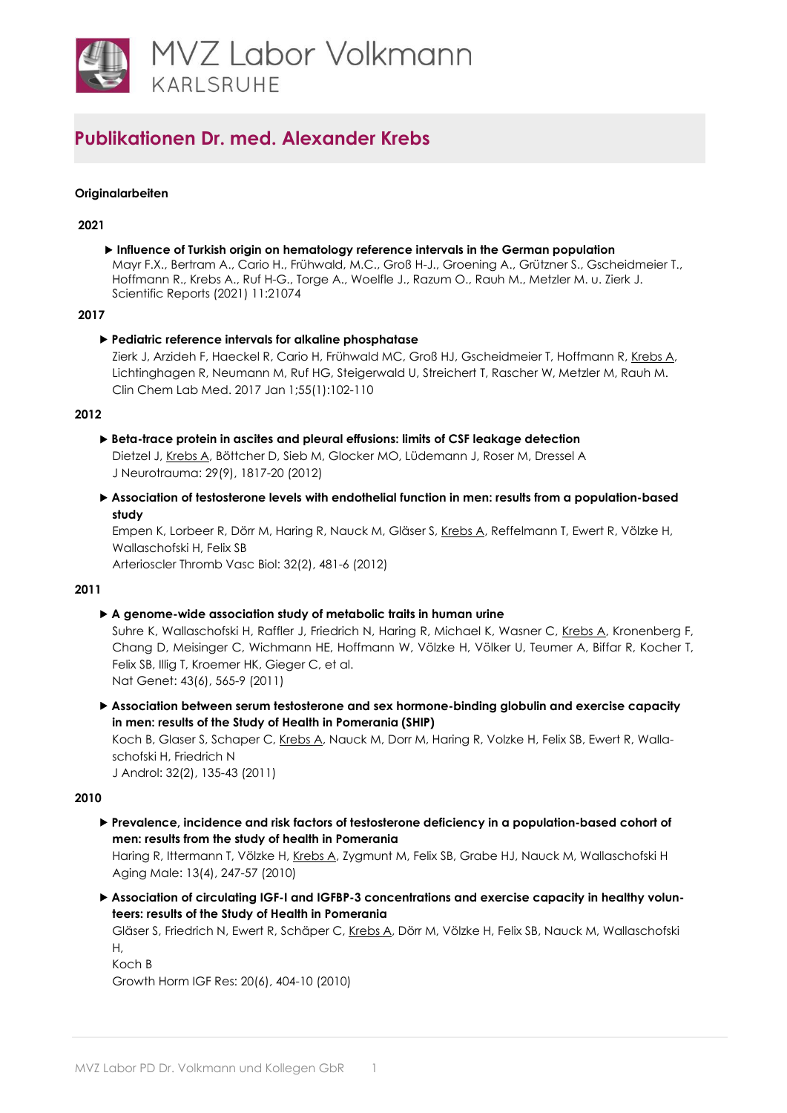

# **Publikationen Dr. med. Alexander Krebs**

### **Originalarbeiten**

#### **2021**

 **Influence of Turkish origin on hematology reference intervals in the German population** Mayr F.X., Bertram A., Cario H., Frühwald, M.C., Groß H-J., Groening A., Grützner S., Gscheidmeier T., Hoffmann R., Krebs A., Ruf H-G., Torge A., Woelfle J., Razum O., Rauh M., Metzler M. u. Zierk J. Scientific Reports (2021) 11:21074

#### **2017**

### **Pediatric reference intervals for alkaline phosphatase**

Zierk J, Arzideh F, Haeckel R, Cario H, Frühwald MC, Groß HJ, Gscheidmeier T, Hoffmann R[, Krebs A,](https://www.ncbi.nlm.nih.gov/pubmed/27505090) Lichtinghagen R, Neumann M, Ruf HG, Steigerwald U, Streichert T, Rascher W, Metzler M, Rauh M. Clin Chem Lab Med. 2017 Jan 1;55(1):102-110

### **2012**

- **Beta-trace protein in ascites and pleural effusions: limits of CSF leakage detection**  Dietzel J[, Krebs A, B](http://www.ncbi.nlm.nih.gov/pubmed/21501068)öttcher D, Sieb M, Glocker MO, Lüdemann J, Roser M, Dressel A J Neurotrauma: 29(9), 1817-20 (2012)
- **Association of testosterone levels with endothelial function in men: results from a population-based study**

Empen K, Lorbeer R, Dörr M, Haring R, Nauck M, Gläser S, [Krebs A, R](http://www.ncbi.nlm.nih.gov/pubmed/22095984)effelmann T, Ewert R, Völzke H, Wallaschofski H, Felix SB

Arterioscler Thromb Vasc Biol: 32(2), 481-6 (2012)

### **2011**

### **A genome-wide association study of metabolic traits in human urine**

Suhre K, Wallaschofski H, Raffler J, Friedrich N, Haring R, Michael K, Wasner C, [Krebs A, K](http://www.ncbi.nlm.nih.gov/pubmed/21572414)ronenberg F, Chang D, Meisinger C, Wichmann HE, Hoffmann W, Völzke H, Völker U, Teumer A, Biffar R, Kocher T, Felix SB, Illig T, Kroemer HK, Gieger C, et al. Nat Genet: 43(6), 565-9 (2011)

 **Association between serum testosterone and sex hormone-binding globulin and exercise capacity in men: results of the Study of Health in Pomerania (SHIP)**

Koch B, Glaser S, Schaper C, [Krebs A, N](http://www.ncbi.nlm.nih.gov/pubmed/20864650)auck M, Dorr M, Haring R, Volzke H, Felix SB, Ewert R, Wallaschofski H, Friedrich N

J Androl: 32(2), 135-43 (2011)

### **2010**

 **Prevalence, incidence and risk factors of testosterone deficiency in a population-based cohort of men: results from the study of health in Pomerania**

Haring R, Ittermann T, Völzke H[, Krebs A, Z](http://www.ncbi.nlm.nih.gov/pubmed/20504090)ygmunt M, Felix SB, Grabe HJ, Nauck M, Wallaschofski H Aging Male: 13(4), 247-57 (2010)

 **Association of circulating IGF-I and IGFBP-3 concentrations and exercise capacity in healthy volunteers: results of the Study of Health in Pomerania**

Gläser S, Friedrich N, Ewert R, Schäper C, [Krebs A, D](http://www.ncbi.nlm.nih.gov/pubmed/20889360)örr M, Völzke H, Felix SB, Nauck M, Wallaschofski H,

Koch B

Growth Horm IGF Res: 20(6), 404-10 (2010)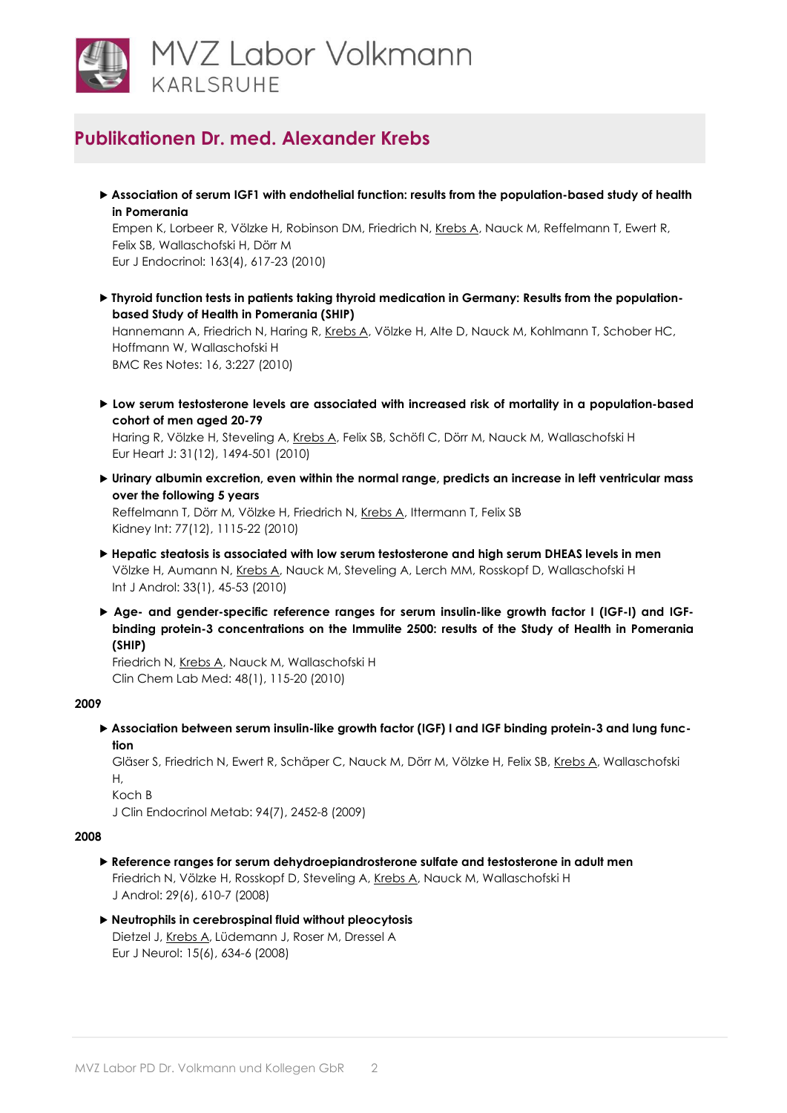

# **Publikationen Dr. med. Alexander Krebs**

 **Association of serum IGF1 with endothelial function: results from the population-based study of health in Pomerania**

Empen K, Lorbeer R, Völzke H, Robinson DM, Friedrich N[, Krebs A, N](http://www.ncbi.nlm.nih.gov/pubmed/20651065)auck M, Reffelmann T, Ewert R, Felix SB, Wallaschofski H, Dörr M Eur J Endocrinol: 163(4), 617-23 (2010)

 **Thyroid function tests in patients taking thyroid medication in Germany: Results from the populationbased Study of Health in Pomerania (SHIP)**

Hannemann A, Friedrich N, Haring R, [Krebs A, V](http://www.ncbi.nlm.nih.gov/pubmed/20712884)ölzke H, Alte D, Nauck M, Kohlmann T, Schober HC, Hoffmann W, Wallaschofski H BMC Res Notes: 16, 3:227 (2010)

 **Low serum testosterone levels are associated with increased risk of mortality in a population-based cohort of men aged 20-79**

Haring R, Völzke H, Steveling A[, Krebs A, F](http://www.ncbi.nlm.nih.gov/pubmed/20164245)elix SB, Schöfl C, Dörr M, Nauck M, Wallaschofski H Eur Heart J: 31(12), 1494-501 (2010)

 **Urinary albumin excretion, even within the normal range, predicts an increase in left ventricular mass over the following 5 years**

Reffelmann T, Dörr M, Völzke H, Friedrich N, [Krebs A, It](http://www.ncbi.nlm.nih.gov/pubmed/20200499)termann T, Felix SB Kidney Int: 77(12), 1115-22 (2010)

- **Hepatic steatosis is associated with low serum testosterone and high serum DHEAS levels in men** Völzke H, Aumann N[, Krebs A, N](http://www.ncbi.nlm.nih.gov/pubmed/19226405)auck M, Steveling A, Lerch MM, Rosskopf D, Wallaschofski H Int J Androl: 33(1), 45-53 (2010)
- **Age- and gender-specific reference ranges for serum insulin-like growth factor I (IGF-I) and IGFbinding protein-3 concentrations on the Immulite 2500: results of the Study of Health in Pomerania (SHIP)**

Friedrich N, [Krebs A, N](http://www.ncbi.nlm.nih.gov/pubmed/19943810)auck M, Wallaschofski H Clin Chem Lab Med: 48(1), 115-20 (2010)

## **2009**

 **Association between serum insulin-like growth factor (IGF) I and IGF binding protein-3 and lung function**

Gläser S, Friedrich N, Ewert R, Schäper C, Nauck M, Dörr M, Völzke H, Felix SB, [Krebs A, W](http://www.ncbi.nlm.nih.gov/pubmed/19401363)allaschofski  $H$ .

Koch B

J Clin Endocrinol Metab: 94(7), 2452-8 (2009)

### **2008**

- **Reference ranges for serum dehydroepiandrosterone sulfate and testosterone in adult men** Friedrich N, Völzke H, Rosskopf D, Steveling A, [Krebs A, N](http://www.ncbi.nlm.nih.gov/pubmed/18599883)auck M, Wallaschofski H J Androl: 29(6), 610-7 (2008)
- **Neutrophils in cerebrospinal fluid without pleocytosis**  Dietzel J[, Krebs A, L](http://www.ncbi.nlm.nih.gov/pubmed/18474079)üdemann J, Roser M, Dressel A Eur J Neurol: 15(6), 634-6 (2008)